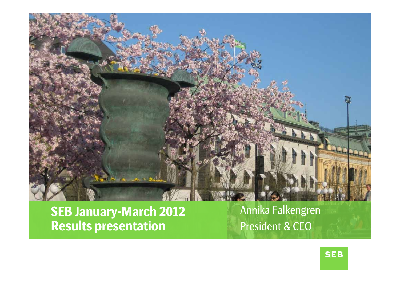

**SEB January-March 2012 Results presentation**

Annika Falkengren President & CEO

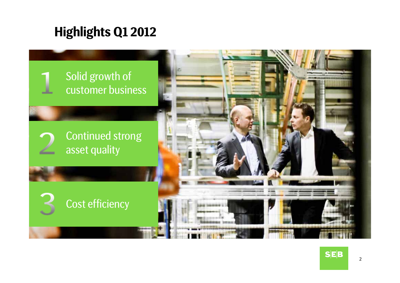### **Highlights Q1 2012**

### Solid growth of customer business

Continued strong asset quality





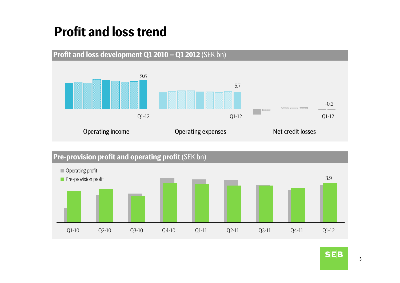# **Profit and loss trend**





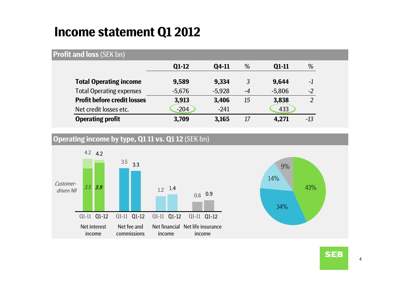### **Income statement Q1 2012**

#### **Profit and loss** (SEK bn)

|                                    | $Q1-12$  | Q4-11    | %    | Q1-11    | %             |
|------------------------------------|----------|----------|------|----------|---------------|
| <b>Total Operating income</b>      | 9,589    | 9,334    | 3    | 9,644    | $-1$          |
| <b>Total Operating expenses</b>    | $-5.676$ | $-5.928$ | $-4$ | $-5,806$ | $-2$          |
| <b>Profit before credit losses</b> | 3,913    | 3,406    | 15   | 3,838    | $\mathcal{P}$ |
| Net credit losses etc.             | $-204$   | $-241$   |      | 433      |               |
| <b>Operating profit</b>            | 3,709    | 3,165    | 17   | 4,271    | -13           |

### **Operating income by type, Q1 11 vs. Q1 12** (SEK bn)





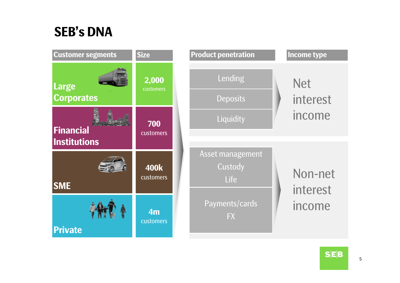### **SEB's DNA**

| <b>Customer segments</b>                | <b>Size</b>              | <b>Product penetration</b>          | <b>Income type</b>     |
|-----------------------------------------|--------------------------|-------------------------------------|------------------------|
| Large<br><b>Corporates</b>              | 2,000<br>customers       | Lending<br><b>Deposits</b>          | <b>Net</b><br>interest |
| <b>Financial</b><br><b>Institutions</b> | 700<br>customers         | Liquidity                           | income                 |
| <b>SME</b>                              | <b>400k</b><br>customers | Asset management<br>Custody<br>Life | Non-net<br>interest    |
| <b>Private</b>                          | 4m<br>customers          | Payments/cards<br><b>FX</b>         | income                 |

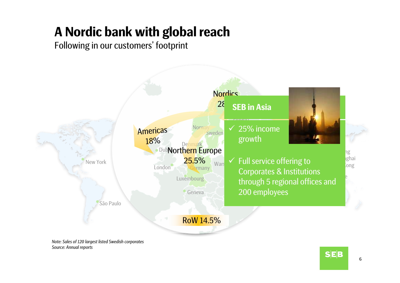# **A Nordic bank with global reach**

Following in our customers' footprint



*Note: Sales of 120 largest listed Swedish corporates Source: Annual reports*

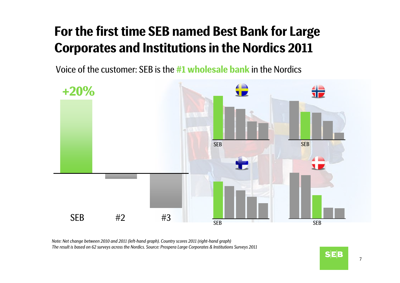# **For the first time SEB named Best Bank for Large Corporates and Institutions in the Nordics 2011**

Voice of the customer: SEB is the **#1 wholesale bank** in the Nordics



*Note: Net change between 2010 and 2011 (left-hand graph). Country scores 2011 (right-hand graph) The result is based on 62 surveys across the Nordics. Source: Prospera Large Corporates & Institutions Surveys 2011*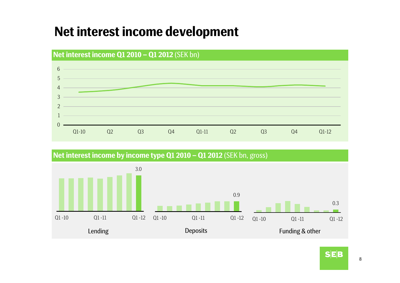### **Net interest income development**



3.0**Net interest income by income type Q1 2010 – Q1 2012** (SEK bn, gross)



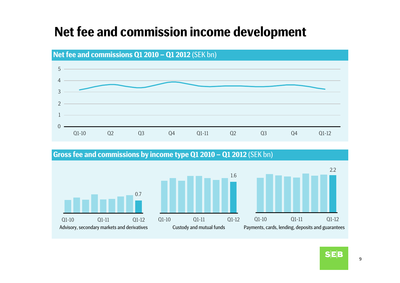### **Net fee and commission income development**



**Gross fee and commissions by income type Q1 2010 – Q1 2012** (SEK bn)

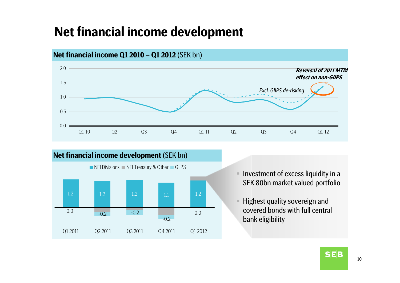### **Net financial income development**



#### **Net financial income Q1 2010 – Q1 2012** (SEK bn)

![](_page_9_Figure_3.jpeg)

- $\blacksquare$  Investment of excess liquidity in a SEK 80bn market valued portfolio
- $\blacksquare$  Highest quality sovereign and covered bonds with full central bank eligibility

![](_page_9_Picture_6.jpeg)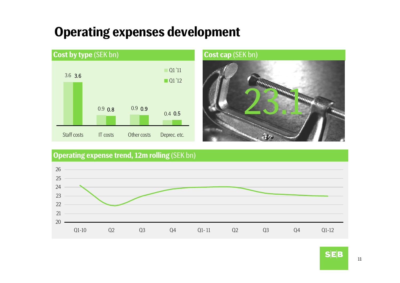### **Operating expenses development**

![](_page_10_Figure_1.jpeg)

![](_page_10_Picture_2.jpeg)

### **Operating expense trend, 12m rolling** (SEK bn)

![](_page_10_Figure_4.jpeg)

![](_page_10_Picture_5.jpeg)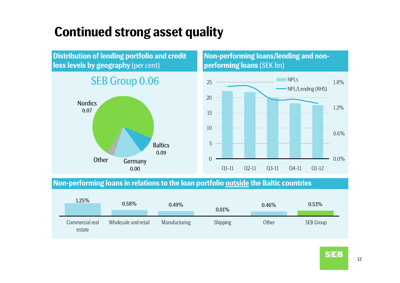### **Continued strong asset quality**

**Distribution of lending portfolio and credit loss levels by geography** (per cent)

### SEB Group 0.06

![](_page_11_Figure_3.jpeg)

#### **Non-performing loans/lending and nonperforming loans** (SEK bn)

![](_page_11_Figure_5.jpeg)

#### **Non-performing loans in relations to the loan portfolio outside the Baltic countries**

| 1.25%                     | 0.58%                | 0.49%         | 0.01%    | 0.46% | 0.53%     |
|---------------------------|----------------------|---------------|----------|-------|-----------|
| Commercial real<br>estate | Wholesale and retail | Manufacturing | Shipping | Other | SEB Group |

![](_page_11_Picture_8.jpeg)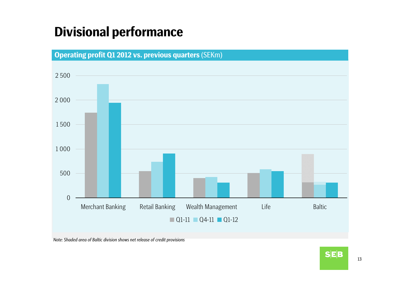### **Divisional performance**

![](_page_12_Figure_1.jpeg)

*Note: Shaded area of Baltic division shows net release of credit provisions*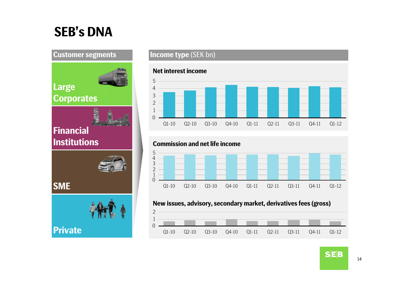# **SEB's DNA**

![](_page_13_Figure_3.jpeg)

### **Financial Institutions**

**Corporates**

**Large**

**SME**

![](_page_13_Picture_5.jpeg)

![](_page_13_Picture_6.jpeg)

#### **Customer segments Income type** (SEK bn)

![](_page_13_Figure_8.jpeg)

#### **New issues, advisory, secondary market, derivatives fees (gross)**

![](_page_13_Figure_10.jpeg)

![](_page_13_Picture_11.jpeg)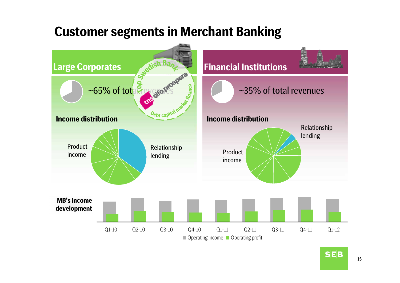### **Customer segments in Merchant Banking**

![](_page_14_Figure_1.jpeg)

![](_page_14_Picture_2.jpeg)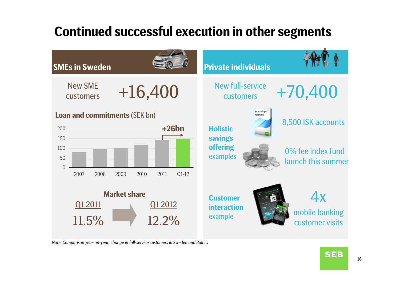# **Continued successful execution in other segments**

![](_page_15_Figure_1.jpeg)

*Note: Comparison year-on-year; change in full-service customers in Sweden and Baltics*

![](_page_15_Picture_3.jpeg)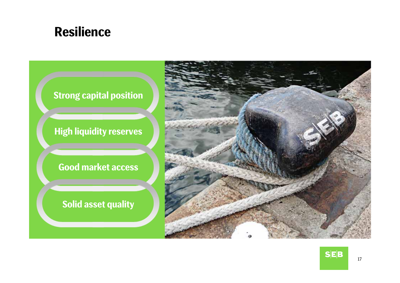![](_page_16_Picture_0.jpeg)

![](_page_16_Figure_1.jpeg)

![](_page_16_Picture_2.jpeg)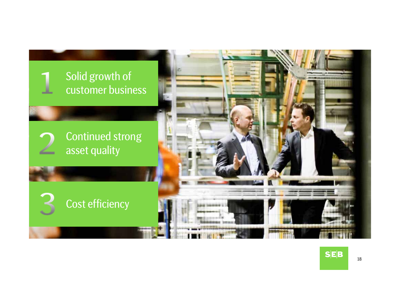![](_page_17_Picture_0.jpeg)

![](_page_17_Picture_1.jpeg)